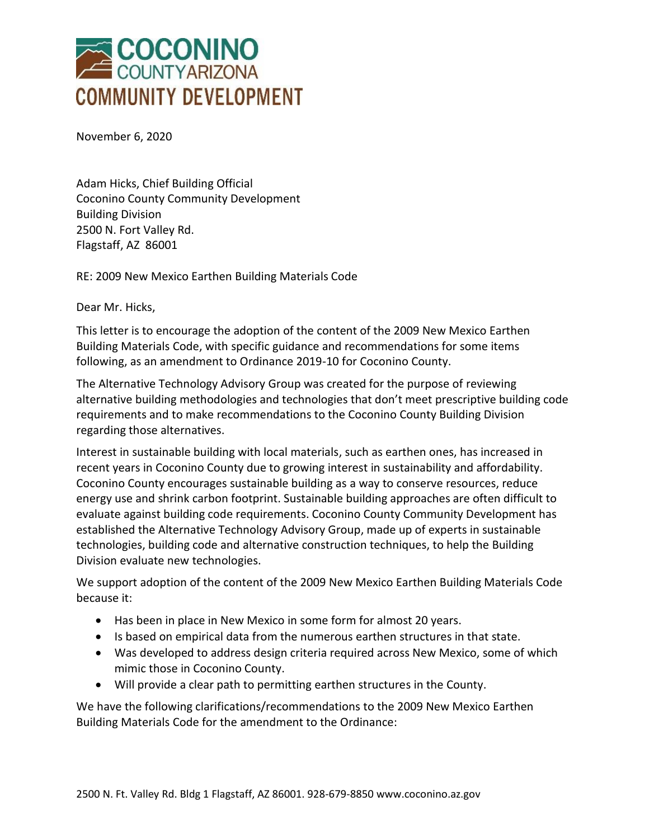

November 6, 2020

Adam Hicks, Chief Building Official Coconino County Community Development Building Division 2500 N. Fort Valley Rd. Flagstaff, AZ 86001

RE: 2009 New Mexico Earthen Building Materials Code

Dear Mr. Hicks,

This letter is to encourage the adoption of the content of the 2009 New Mexico Earthen Building Materials Code, with specific guidance and recommendations for some items following, as an amendment to Ordinance 2019-10 for Coconino County.

The Alternative Technology Advisory Group was created for the purpose of reviewing alternative building methodologies and technologies that don't meet prescriptive building code requirements and to make recommendations to the Coconino County Building Division regarding those alternatives.

Interest in sustainable building with local materials, such as earthen ones, has increased in recent years in Coconino County due to growing interest in sustainability and affordability. Coconino County encourages sustainable building as a way to conserve resources, reduce energy use and shrink carbon footprint. Sustainable building approaches are often difficult to evaluate against building code requirements. Coconino County Community Development has established the Alternative Technology Advisory Group, made up of experts in sustainable technologies, building code and alternative construction techniques, to help the Building Division evaluate new technologies.

We support adoption of the content of the 2009 New Mexico Earthen Building Materials Code because it:

- Has been in place in New Mexico in some form for almost 20 years.
- Is based on empirical data from the numerous earthen structures in that state.
- Was developed to address design criteria required across New Mexico, some of which mimic those in Coconino County.
- Will provide a clear path to permitting earthen structures in the County.

We have the following clarifications/recommendations to the 2009 New Mexico Earthen Building Materials Code for the amendment to the Ordinance: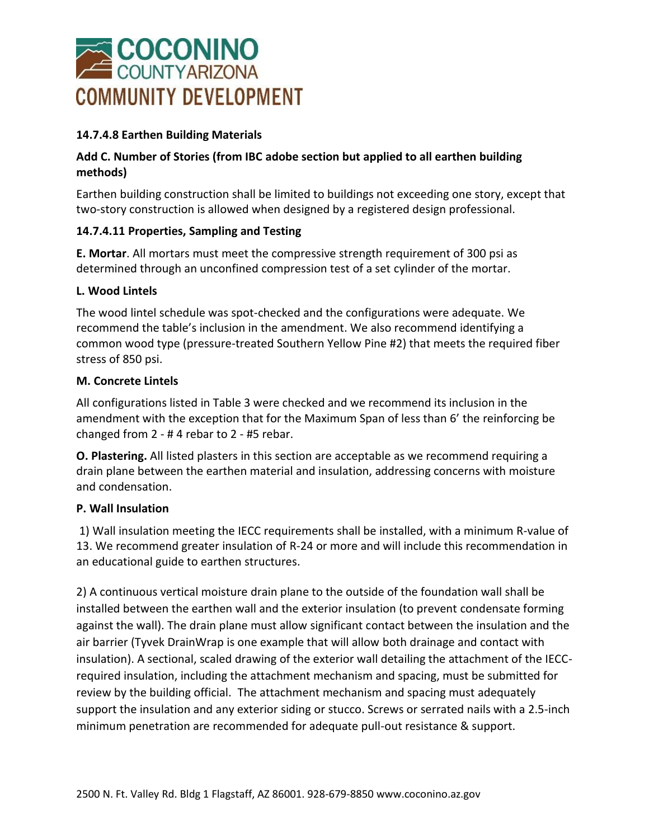

## **14.7.4.8 Earthen Building Materials**

## **Add C. Number of Stories (from IBC adobe section but applied to all earthen building methods)**

Earthen building construction shall be limited to buildings not exceeding one story, except that two-story construction is allowed when designed by a registered design professional.

## **14.7.4.11 Properties, Sampling and Testing**

**E. Mortar**. All mortars must meet the compressive strength requirement of 300 psi as determined through an unconfined compression test of a set cylinder of the mortar.

#### **L. Wood Lintels**

The wood lintel schedule was spot-checked and the configurations were adequate. We recommend the table's inclusion in the amendment. We also recommend identifying a common wood type (pressure-treated Southern Yellow Pine #2) that meets the required fiber stress of 850 psi.

#### **M. Concrete Lintels**

All configurations listed in Table 3 were checked and we recommend its inclusion in the amendment with the exception that for the Maximum Span of less than 6' the reinforcing be changed from 2 - # 4 rebar to 2 - #5 rebar.

**O. Plastering.** All listed plasters in this section are acceptable as we recommend requiring a drain plane between the earthen material and insulation, addressing concerns with moisture and condensation.

#### **P. Wall Insulation**

1) Wall insulation meeting the IECC requirements shall be installed, with a minimum R-value of 13. We recommend greater insulation of R-24 or more and will include this recommendation in an educational guide to earthen structures.

2) A continuous vertical moisture drain plane to the outside of the foundation wall shall be installed between the earthen wall and the exterior insulation (to prevent condensate forming against the wall). The drain plane must allow significant contact between the insulation and the air barrier (Tyvek DrainWrap is one example that will allow both drainage and contact with insulation). A sectional, scaled drawing of the exterior wall detailing the attachment of the IECCrequired insulation, including the attachment mechanism and spacing, must be submitted for review by the building official. The attachment mechanism and spacing must adequately support the insulation and any exterior siding or stucco. Screws or serrated nails with a 2.5-inch minimum penetration are recommended for adequate pull-out resistance & support.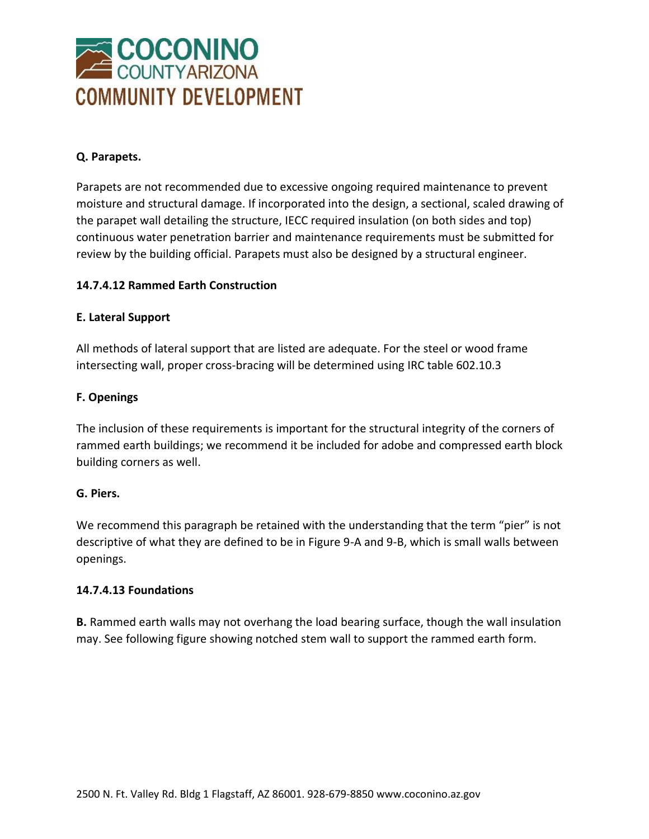

## **Q. Parapets.**

Parapets are not recommended due to excessive ongoing required maintenance to prevent moisture and structural damage. If incorporated into the design, a sectional, scaled drawing of the parapet wall detailing the structure, IECC required insulation (on both sides and top) continuous water penetration barrier and maintenance requirements must be submitted for review by the building official. Parapets must also be designed by a structural engineer.

## **14.7.4.12 Rammed Earth Construction**

#### **E. Lateral Support**

All methods of lateral support that are listed are adequate. For the steel or wood frame intersecting wall, proper cross-bracing will be determined using IRC table 602.10.3

#### **F. Openings**

The inclusion of these requirements is important for the structural integrity of the corners of rammed earth buildings; we recommend it be included for adobe and compressed earth block building corners as well.

#### **G. Piers.**

We recommend this paragraph be retained with the understanding that the term "pier" is not descriptive of what they are defined to be in Figure 9-A and 9-B, which is small walls between openings.

#### **14.7.4.13 Foundations**

**B.** Rammed earth walls may not overhang the load bearing surface, though the wall insulation may. See following figure showing notched stem wall to support the rammed earth form.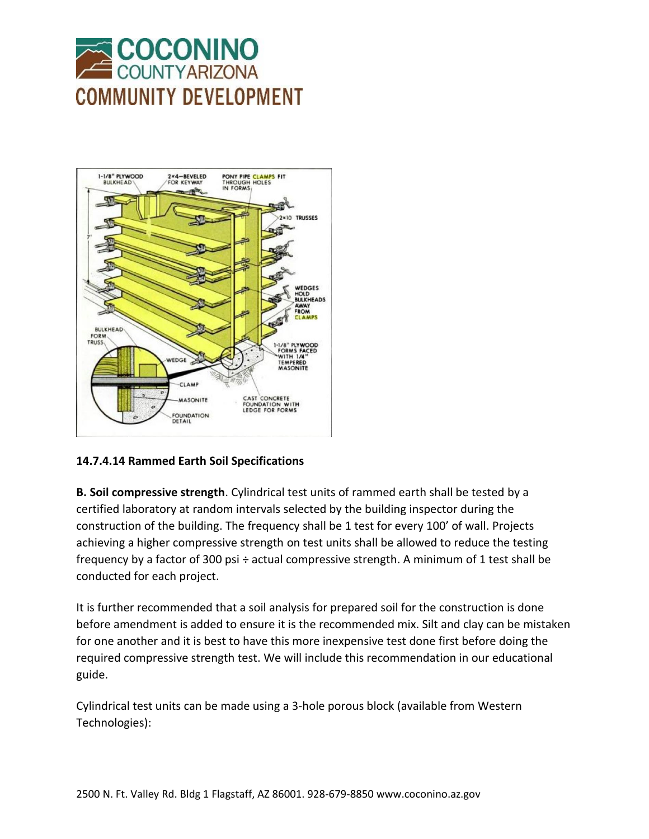



# **14.7.4.14 Rammed Earth Soil Specifications**

**B. Soil compressive strength**. Cylindrical test units of rammed earth shall be tested by a certified laboratory at random intervals selected by the building inspector during the construction of the building. The frequency shall be 1 test for every 100' of wall. Projects achieving a higher compressive strength on test units shall be allowed to reduce the testing frequency by a factor of 300 psi ÷ actual compressive strength. A minimum of 1 test shall be conducted for each project.

It is further recommended that a soil analysis for prepared soil for the construction is done before amendment is added to ensure it is the recommended mix. Silt and clay can be mistaken for one another and it is best to have this more inexpensive test done first before doing the required compressive strength test. We will include this recommendation in our educational guide.

Cylindrical test units can be made using a 3-hole porous block (available from Western Technologies):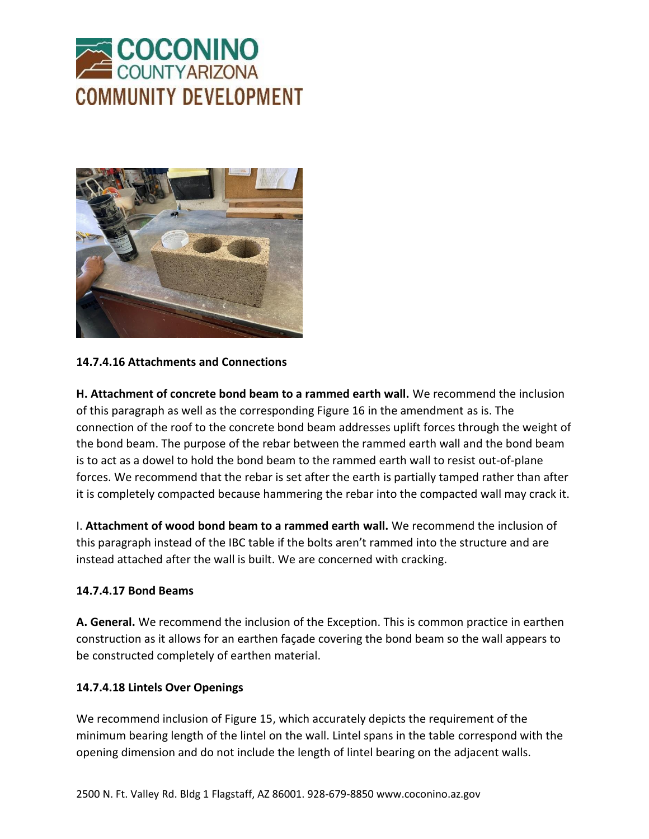



## **14.7.4.16 Attachments and Connections**

**H. Attachment of concrete bond beam to a rammed earth wall.** We recommend the inclusion of this paragraph as well as the corresponding Figure 16 in the amendment as is. The connection of the roof to the concrete bond beam addresses uplift forces through the weight of the bond beam. The purpose of the rebar between the rammed earth wall and the bond beam is to act as a dowel to hold the bond beam to the rammed earth wall to resist out-of-plane forces. We recommend that the rebar is set after the earth is partially tamped rather than after it is completely compacted because hammering the rebar into the compacted wall may crack it.

I. **Attachment of wood bond beam to a rammed earth wall.** We recommend the inclusion of this paragraph instead of the IBC table if the bolts aren't rammed into the structure and are instead attached after the wall is built. We are concerned with cracking.

#### **14.7.4.17 Bond Beams**

**A. General.** We recommend the inclusion of the Exception. This is common practice in earthen construction as it allows for an earthen façade covering the bond beam so the wall appears to be constructed completely of earthen material.

#### **14.7.4.18 Lintels Over Openings**

We recommend inclusion of Figure 15, which accurately depicts the requirement of the minimum bearing length of the lintel on the wall. Lintel spans in the table correspond with the opening dimension and do not include the length of lintel bearing on the adjacent walls.